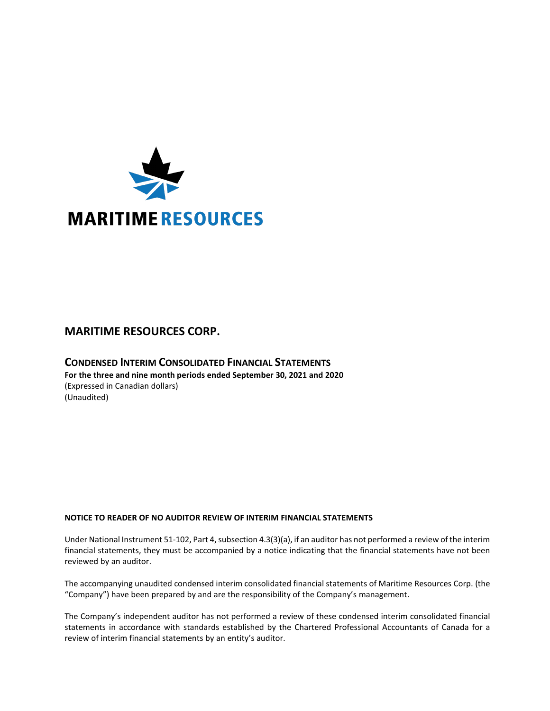

# **MARITIME RESOURCES CORP.**

## **CONDENSED INTERIM CONSOLIDATED FINANCIAL STATEMENTS For the three and nine month periods ended September 30, 2021 and 2020** (Expressed in Canadian dollars) (Unaudited)

## **NOTICE TO READER OF NO AUDITOR REVIEW OF INTERIM FINANCIAL STATEMENTS**

Under National Instrument 51-102, Part 4, subsection 4.3(3)(a), if an auditor has not performed a review of the interim financial statements, they must be accompanied by a notice indicating that the financial statements have not been reviewed by an auditor.

The accompanying unaudited condensed interim consolidated financial statements of Maritime Resources Corp. (the "Company") have been prepared by and are the responsibility of the Company's management.

The Company's independent auditor has not performed a review of these condensed interim consolidated financial statements in accordance with standards established by the Chartered Professional Accountants of Canada for a review of interim financial statements by an entity's auditor.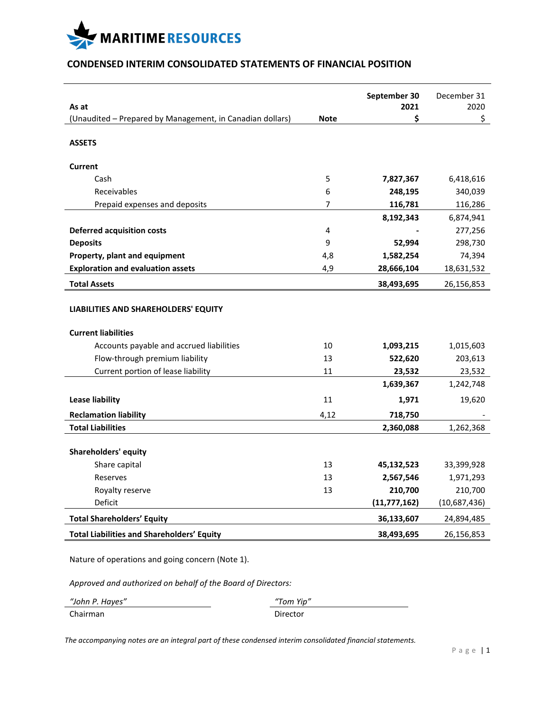

## **CONDENSED INTERIM CONSOLIDATED STATEMENTS OF FINANCIAL POSITION**

|                                                                    |             | September 30   | December 31  |
|--------------------------------------------------------------------|-------------|----------------|--------------|
| As at                                                              | <b>Note</b> | 2021           | 2020<br>\$   |
| (Unaudited - Prepared by Management, in Canadian dollars)          |             | \$             |              |
| <b>ASSETS</b>                                                      |             |                |              |
| <b>Current</b>                                                     |             |                |              |
| Cash                                                               | 5           | 7,827,367      | 6,418,616    |
| Receivables                                                        | 6           | 248,195        | 340,039      |
| Prepaid expenses and deposits                                      | 7           | 116,781        | 116,286      |
|                                                                    |             | 8,192,343      | 6,874,941    |
| <b>Deferred acquisition costs</b>                                  | 4           |                | 277,256      |
| <b>Deposits</b>                                                    | 9           | 52,994         | 298,730      |
| Property, plant and equipment                                      | 4,8         | 1,582,254      | 74,394       |
| <b>Exploration and evaluation assets</b>                           | 4,9         | 28,666,104     | 18,631,532   |
| <b>Total Assets</b>                                                |             | 38,493,695     | 26,156,853   |
| LIABILITIES AND SHAREHOLDERS' EQUITY<br><b>Current liabilities</b> |             |                |              |
| Accounts payable and accrued liabilities                           | 10          | 1,093,215      | 1,015,603    |
| Flow-through premium liability                                     | 13          | 522,620        | 203,613      |
| Current portion of lease liability                                 | 11          | 23,532         | 23,532       |
|                                                                    |             | 1,639,367      | 1,242,748    |
| <b>Lease liability</b>                                             | 11          | 1,971          | 19,620       |
| <b>Reclamation liability</b>                                       | 4,12        | 718,750        |              |
| <b>Total Liabilities</b>                                           |             | 2,360,088      | 1,262,368    |
| Shareholders' equity                                               |             |                |              |
| Share capital                                                      | 13          | 45,132,523     | 33,399,928   |
| Reserves                                                           | 13          | 2,567,546      | 1,971,293    |
| Royalty reserve                                                    | 13          | 210,700        | 210,700      |
| Deficit                                                            |             | (11, 777, 162) | (10,687,436) |
| <b>Total Shareholders' Equity</b>                                  |             | 36,133,607     | 24,894,485   |
| <b>Total Liabilities and Shareholders' Equity</b>                  |             | 38,493,695     | 26,156,853   |

Nature of operations and going concern (Note 1).

*Approved and authorized on behalf of the Board of Directors:*

| "John P. Hayes" | "Tom Yip" |
|-----------------|-----------|
| Chairman        | Director  |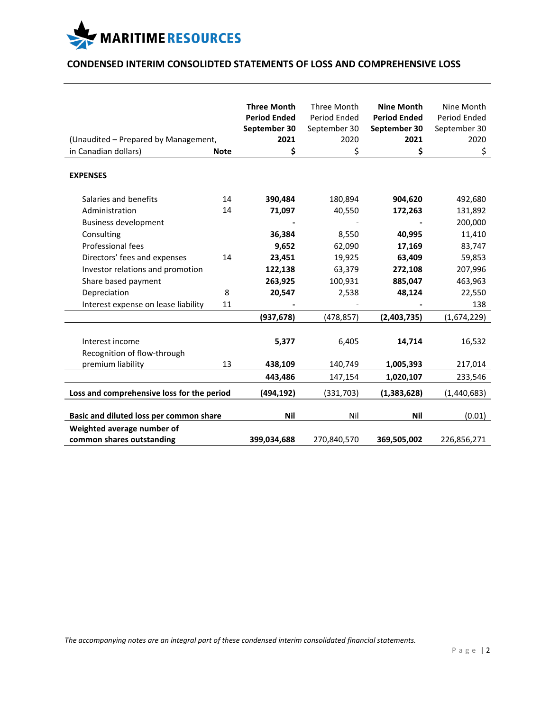

## **CONDENSED INTERIM CONSOLIDTED STATEMENTS OF LOSS AND COMPREHENSIVE LOSS**

| (Unaudited - Prepared by Management,<br>in Canadian dollars) | <b>Note</b> | <b>Three Month</b><br><b>Period Ended</b><br>September 30<br>2021<br>\$ | Three Month<br>Period Ended<br>September 30<br>2020<br>\$ | <b>Nine Month</b><br><b>Period Ended</b><br>September 30<br>2021<br>\$ | Nine Month<br>Period Ended<br>September 30<br>2020<br>\$ |
|--------------------------------------------------------------|-------------|-------------------------------------------------------------------------|-----------------------------------------------------------|------------------------------------------------------------------------|----------------------------------------------------------|
| <b>EXPENSES</b>                                              |             |                                                                         |                                                           |                                                                        |                                                          |
| Salaries and benefits<br>Administration                      | 14<br>14    | 390,484<br>71,097                                                       | 180,894<br>40,550                                         | 904,620<br>172,263                                                     | 492,680<br>131,892                                       |
| <b>Business development</b>                                  |             |                                                                         |                                                           |                                                                        | 200,000                                                  |
| Consulting                                                   |             | 36,384                                                                  | 8,550                                                     | 40,995                                                                 | 11,410                                                   |
| Professional fees                                            |             | 9,652                                                                   | 62,090                                                    | 17,169                                                                 | 83,747                                                   |
| Directors' fees and expenses                                 | 14          | 23,451                                                                  | 19,925                                                    | 63,409                                                                 | 59,853                                                   |
| Investor relations and promotion                             |             | 122,138                                                                 | 63,379                                                    | 272,108                                                                | 207,996                                                  |
| Share based payment                                          |             | 263,925                                                                 | 100,931                                                   | 885,047                                                                | 463,963                                                  |
| Depreciation                                                 | 8           | 20,547                                                                  | 2,538                                                     | 48,124                                                                 | 22,550                                                   |
| Interest expense on lease liability                          | 11          |                                                                         |                                                           |                                                                        | 138                                                      |
|                                                              |             | (937, 678)                                                              | (478, 857)                                                | (2,403,735)                                                            | (1,674,229)                                              |
| Interest income<br>Recognition of flow-through               |             | 5,377                                                                   | 6,405                                                     | 14,714                                                                 | 16,532                                                   |
| premium liability                                            | 13          | 438,109                                                                 | 140,749                                                   | 1,005,393                                                              | 217,014                                                  |
|                                                              |             | 443,486                                                                 | 147,154                                                   | 1,020,107                                                              | 233,546                                                  |
| Loss and comprehensive loss for the period                   |             | (494,192)                                                               | (331,703)                                                 | (1, 383, 628)                                                          | (1,440,683)                                              |
| Basic and diluted loss per common share                      |             | <b>Nil</b>                                                              | Nil                                                       | <b>Nil</b>                                                             | (0.01)                                                   |
| Weighted average number of<br>common shares outstanding      |             | 399,034,688                                                             | 270,840,570                                               | 369,505,002                                                            | 226,856,271                                              |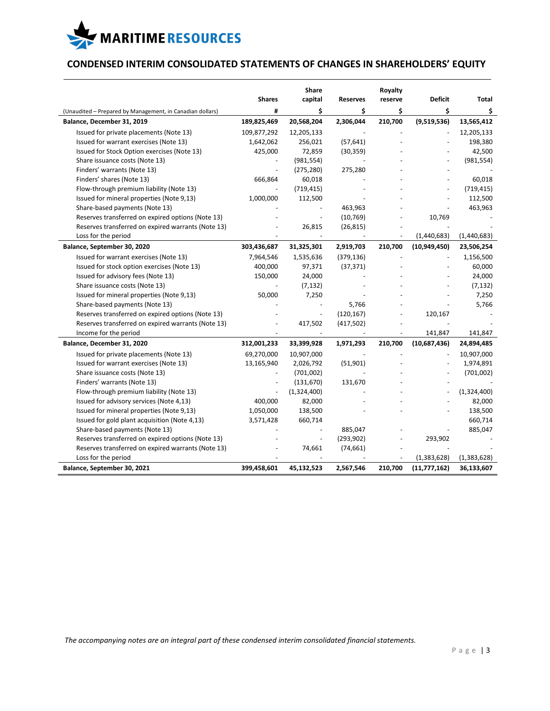

## **CONDENSED INTERIM CONSOLIDATED STATEMENTS OF CHANGES IN SHAREHOLDERS' EQUITY**

|                                                                                         | <b>Shares</b> | Share<br>capital | <b>Reserves</b> | Royalty<br>reserve           | <b>Deficit</b> | <b>Total</b> |
|-----------------------------------------------------------------------------------------|---------------|------------------|-----------------|------------------------------|----------------|--------------|
|                                                                                         | #             | \$               | \$              | \$                           | \$             | \$           |
| (Unaudited - Prepared by Management, in Canadian dollars)<br>Balance, December 31, 2019 | 189,825,469   | 20,568,204       | 2,306,044       | 210,700                      | (9,519,536)    | 13,565,412   |
| Issued for private placements (Note 13)                                                 | 109,877,292   | 12,205,133       |                 |                              |                | 12,205,133   |
|                                                                                         |               | 256,021          |                 |                              |                | 198,380      |
| Issued for warrant exercises (Note 13)                                                  | 1,642,062     |                  | (57, 641)       |                              |                |              |
| Issued for Stock Option exercises (Note 13)                                             | 425,000       | 72,859           | (30, 359)       |                              |                | 42,500       |
| Share issuance costs (Note 13)                                                          |               | (981, 554)       |                 |                              |                | (981, 554)   |
| Finders' warrants (Note 13)                                                             |               | (275, 280)       | 275,280         |                              |                |              |
| Finders' shares (Note 13)                                                               | 666,864       | 60,018           |                 |                              |                | 60,018       |
| Flow-through premium liability (Note 13)                                                |               | (719, 415)       |                 |                              | $\overline{a}$ | (719, 415)   |
| Issued for mineral properties (Note 9,13)                                               | 1,000,000     | 112,500          |                 |                              |                | 112,500      |
| Share-based payments (Note 13)                                                          |               |                  | 463,963         |                              |                | 463,963      |
| Reserves transferred on expired options (Note 13)                                       |               |                  | (10, 769)       |                              | 10,769         |              |
| Reserves transferred on expired warrants (Note 13)                                      |               | 26,815           | (26, 815)       |                              |                |              |
| Loss for the period                                                                     |               |                  |                 | $\qquad \qquad \blacksquare$ | (1,440,683)    | (1,440,683)  |
| Balance, September 30, 2020                                                             | 303,436,687   | 31,325,301       | 2,919,703       | 210,700                      | (10,949,450)   | 23,506,254   |
| Issued for warrant exercises (Note 13)                                                  | 7,964,546     | 1,535,636        | (379, 136)      |                              |                | 1,156,500    |
| Issued for stock option exercises (Note 13)                                             | 400,000       | 97,371           | (37, 371)       |                              |                | 60,000       |
| Issued for advisory fees (Note 13)                                                      | 150,000       | 24,000           |                 |                              |                | 24,000       |
| Share issuance costs (Note 13)                                                          |               | (7, 132)         |                 |                              |                | (7, 132)     |
| Issued for mineral properties (Note 9,13)                                               | 50,000        | 7,250            |                 |                              |                | 7,250        |
| Share-based payments (Note 13)                                                          |               |                  | 5,766           |                              |                | 5,766        |
| Reserves transferred on expired options (Note 13)                                       |               |                  | (120, 167)      |                              | 120,167        |              |
| Reserves transferred on expired warrants (Note 13)                                      |               | 417,502          | (417,502)       |                              |                |              |
| Income for the period                                                                   |               |                  |                 |                              | 141,847        | 141,847      |
| Balance, December 31, 2020                                                              | 312,001,233   | 33,399,928       | 1,971,293       | 210,700                      | (10,687,436)   | 24,894,485   |
| Issued for private placements (Note 13)                                                 | 69,270,000    | 10,907,000       |                 |                              |                | 10,907,000   |
| Issued for warrant exercises (Note 13)                                                  | 13,165,940    | 2,026,792        | (51,901)        |                              |                | 1,974,891    |
| Share issuance costs (Note 13)                                                          |               | (701,002)        |                 |                              |                | (701,002)    |
| Finders' warrants (Note 13)                                                             |               | (131, 670)       | 131,670         |                              |                |              |
| Flow-through premium liability (Note 13)                                                |               | (1,324,400)      |                 |                              |                | (1,324,400)  |
| Issued for advisory services (Note 4,13)                                                | 400,000       | 82,000           |                 |                              |                | 82,000       |
| Issued for mineral properties (Note 9,13)                                               | 1,050,000     | 138,500          |                 |                              |                | 138,500      |
| Issued for gold plant acquisition (Note 4,13)                                           | 3,571,428     | 660,714          |                 |                              |                | 660,714      |
| Share-based payments (Note 13)                                                          |               |                  | 885,047         |                              |                | 885,047      |
| Reserves transferred on expired options (Note 13)                                       |               |                  | (293, 902)      |                              | 293,902        |              |
| Reserves transferred on expired warrants (Note 13)                                      |               | 74,661           | (74, 661)       |                              |                |              |
| Loss for the period                                                                     |               |                  |                 |                              | (1,383,628)    | (1,383,628)  |
| Balance, September 30, 2021                                                             | 399,458,601   | 45,132,523       | 2,567,546       | 210,700                      | (11,777,162)   | 36,133,607   |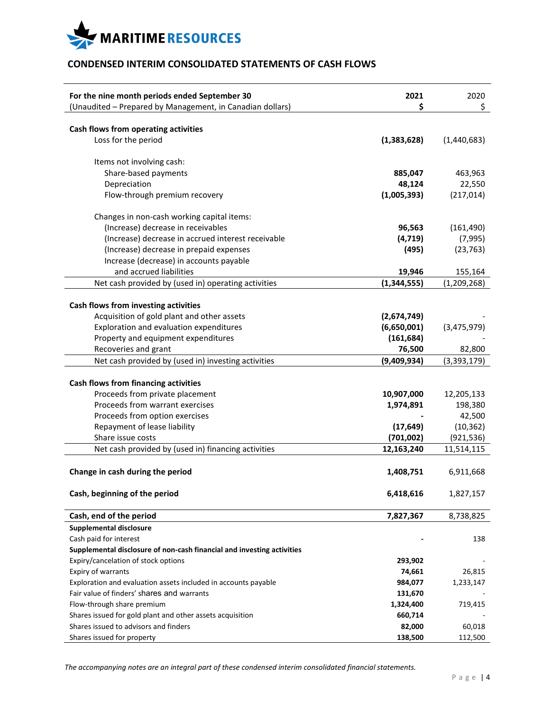

## **CONDENSED INTERIM CONSOLIDATED STATEMENTS OF CASH FLOWS**

| For the nine month periods ended September 30<br>(Unaudited - Prepared by Management, in Canadian dollars) | 2021<br>\$  | 2020<br>\$    |
|------------------------------------------------------------------------------------------------------------|-------------|---------------|
| Cash flows from operating activities                                                                       |             |               |
| Loss for the period                                                                                        | (1,383,628) | (1,440,683)   |
| Items not involving cash:                                                                                  |             |               |
| Share-based payments                                                                                       | 885,047     | 463,963       |
| Depreciation                                                                                               | 48,124      | 22,550        |
| Flow-through premium recovery                                                                              | (1,005,393) | (217, 014)    |
| Changes in non-cash working capital items:                                                                 |             |               |
| (Increase) decrease in receivables                                                                         | 96,563      | (161, 490)    |
| (Increase) decrease in accrued interest receivable                                                         | (4, 719)    | (7,995)       |
| (Increase) decrease in prepaid expenses                                                                    | (495)       | (23, 763)     |
| Increase (decrease) in accounts payable                                                                    |             |               |
| and accrued liabilities                                                                                    | 19,946      | 155,164       |
| Net cash provided by (used in) operating activities                                                        | (1,344,555) | (1, 209, 268) |
| Cash flows from investing activities                                                                       |             |               |
| Acquisition of gold plant and other assets                                                                 | (2,674,749) |               |
| Exploration and evaluation expenditures                                                                    | (6,650,001) | (3,475,979)   |
| Property and equipment expenditures                                                                        | (161, 684)  |               |
| Recoveries and grant                                                                                       | 76,500      | 82,800        |
| Net cash provided by (used in) investing activities                                                        | (9,409,934) | (3, 393, 179) |
| Cash flows from financing activities<br>Proceeds from private placement                                    | 10,907,000  | 12,205,133    |
| Proceeds from warrant exercises                                                                            | 1,974,891   | 198,380       |
| Proceeds from option exercises                                                                             |             | 42,500        |
| Repayment of lease liability                                                                               | (17, 649)   | (10, 362)     |
| Share issue costs                                                                                          | (701,002)   | (921,536)     |
| Net cash provided by (used in) financing activities                                                        | 12,163,240  | 11,514,115    |
| Change in cash during the period                                                                           | 1,408,751   | 6,911,668     |
| Cash, beginning of the period                                                                              | 6,418,616   | 1,827,157     |
| Cash, end of the period                                                                                    | 7,827,367   | 8,738,825     |
| <b>Supplemental disclosure</b>                                                                             |             |               |
| Cash paid for interest                                                                                     |             | 138           |
| Supplemental disclosure of non-cash financial and investing activities                                     |             |               |
| Expiry/cancelation of stock options                                                                        | 293,902     |               |
| Expiry of warrants                                                                                         | 74,661      | 26,815        |
| Exploration and evaluation assets included in accounts payable                                             | 984,077     | 1,233,147     |
| Fair value of finders' shares and warrants                                                                 | 131,670     |               |
| Flow-through share premium                                                                                 | 1,324,400   | 719,415       |
| Shares issued for gold plant and other assets acquisition                                                  | 660,714     |               |
| Shares issued to advisors and finders                                                                      | 82,000      | 60,018        |
| Shares issued for property                                                                                 | 138,500     | 112,500       |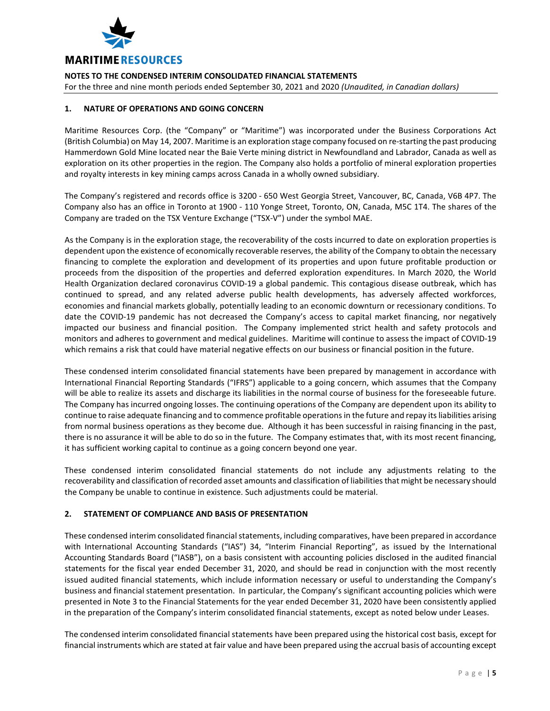

**NOTES TO THE CONDENSED INTERIM CONSOLIDATED FINANCIAL STATEMENTS** For the three and nine month periods ended September 30, 2021 and 2020 *(Unaudited, in Canadian dollars)*

### **1. NATURE OF OPERATIONS AND GOING CONCERN**

Maritime Resources Corp. (the "Company" or "Maritime") was incorporated under the Business Corporations Act (British Columbia) on May 14, 2007. Maritime is an exploration stage company focused on re-starting the past producing Hammerdown Gold Mine located near the Baie Verte mining district in Newfoundland and Labrador, Canada as well as exploration on its other properties in the region. The Company also holds a portfolio of mineral exploration properties and royalty interests in key mining camps across Canada in a wholly owned subsidiary.

The Company's registered and records office is 3200 - 650 West Georgia Street, Vancouver, BC, Canada, V6B 4P7. The Company also has an office in Toronto at 1900 - 110 Yonge Street, Toronto, ON, Canada, M5C 1T4. The shares of the Company are traded on the TSX Venture Exchange ("TSX-V") under the symbol MAE.

As the Company is in the exploration stage, the recoverability of the costs incurred to date on exploration properties is dependent upon the existence of economically recoverable reserves, the ability of the Company to obtain the necessary financing to complete the exploration and development of its properties and upon future profitable production or proceeds from the disposition of the properties and deferred exploration expenditures. In March 2020, the World Health Organization declared coronavirus COVID-19 a global pandemic. This contagious disease outbreak, which has continued to spread, and any related adverse public health developments, has adversely affected workforces, economies and financial markets globally, potentially leading to an economic downturn or recessionary conditions. To date the COVID-19 pandemic has not decreased the Company's access to capital market financing, nor negatively impacted our business and financial position. The Company implemented strict health and safety protocols and monitors and adheres to government and medical guidelines. Maritime will continue to assess the impact of COVID-19 which remains a risk that could have material negative effects on our business or financial position in the future.

These condensed interim consolidated financial statements have been prepared by management in accordance with International Financial Reporting Standards ("IFRS") applicable to a going concern, which assumes that the Company will be able to realize its assets and discharge its liabilities in the normal course of business for the foreseeable future. The Company has incurred ongoing losses. The continuing operations of the Company are dependent upon its ability to continue to raise adequate financing and to commence profitable operations in the future and repay its liabilities arising from normal business operations as they become due. Although it has been successful in raising financing in the past, there is no assurance it will be able to do so in the future. The Company estimates that, with its most recent financing, it has sufficient working capital to continue as a going concern beyond one year.

These condensed interim consolidated financial statements do not include any adjustments relating to the recoverability and classification of recorded asset amounts and classification of liabilities that might be necessary should the Company be unable to continue in existence. Such adjustments could be material.

## **2. STATEMENT OF COMPLIANCE AND BASIS OF PRESENTATION**

These condensed interim consolidated financial statements, including comparatives, have been prepared in accordance with International Accounting Standards ("IAS") 34, "Interim Financial Reporting", as issued by the International Accounting Standards Board ("IASB"), on a basis consistent with accounting policies disclosed in the audited financial statements for the fiscal year ended December 31, 2020, and should be read in conjunction with the most recently issued audited financial statements, which include information necessary or useful to understanding the Company's business and financial statement presentation. In particular, the Company's significant accounting policies which were presented in Note 3 to the Financial Statements for the year ended December 31, 2020 have been consistently applied in the preparation of the Company's interim consolidated financial statements, except as noted below under Leases.

The condensed interim consolidated financial statements have been prepared using the historical cost basis, except for financial instruments which are stated at fair value and have been prepared using the accrual basis of accounting except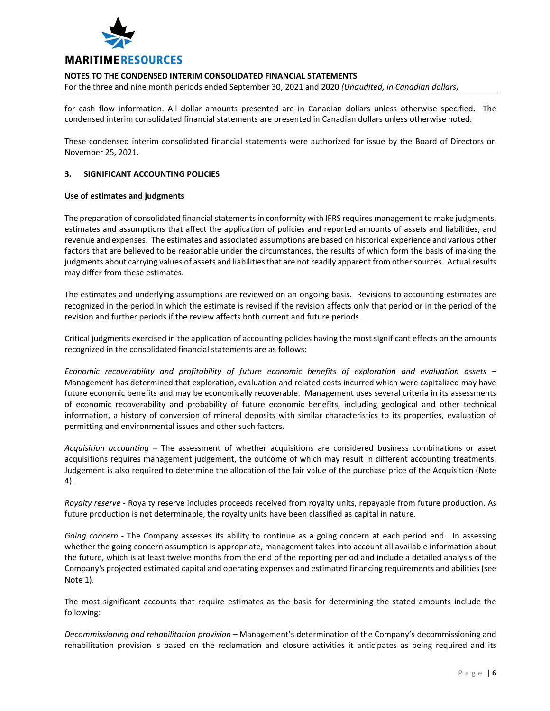

For the three and nine month periods ended September 30, 2021 and 2020 *(Unaudited, in Canadian dollars)*

for cash flow information. All dollar amounts presented are in Canadian dollars unless otherwise specified. The condensed interim consolidated financial statements are presented in Canadian dollars unless otherwise noted.

These condensed interim consolidated financial statements were authorized for issue by the Board of Directors on November 25, 2021.

#### **3. SIGNIFICANT ACCOUNTING POLICIES**

#### **Use of estimates and judgments**

The preparation of consolidated financial statements in conformity with IFRS requires management to make judgments, estimates and assumptions that affect the application of policies and reported amounts of assets and liabilities, and revenue and expenses. The estimates and associated assumptions are based on historical experience and various other factors that are believed to be reasonable under the circumstances, the results of which form the basis of making the judgments about carrying values of assets and liabilities that are not readily apparent from other sources. Actual results may differ from these estimates.

The estimates and underlying assumptions are reviewed on an ongoing basis. Revisions to accounting estimates are recognized in the period in which the estimate is revised if the revision affects only that period or in the period of the revision and further periods if the review affects both current and future periods.

Critical judgments exercised in the application of accounting policies having the most significant effects on the amounts recognized in the consolidated financial statements are as follows:

*Economic recoverability and profitability of future economic benefits of exploration and evaluation assets* – Management has determined that exploration, evaluation and related costs incurred which were capitalized may have future economic benefits and may be economically recoverable. Management uses several criteria in its assessments of economic recoverability and probability of future economic benefits, including geological and other technical information, a history of conversion of mineral deposits with similar characteristics to its properties, evaluation of permitting and environmental issues and other such factors.

*Acquisition accounting* – The assessment of whether acquisitions are considered business combinations or asset acquisitions requires management judgement, the outcome of which may result in different accounting treatments. Judgement is also required to determine the allocation of the fair value of the purchase price of the Acquisition (Note 4).

*Royalty reserve* - Royalty reserve includes proceeds received from royalty units, repayable from future production. As future production is not determinable, the royalty units have been classified as capital in nature.

*Going concern* - The Company assesses its ability to continue as a going concern at each period end. In assessing whether the going concern assumption is appropriate, management takes into account all available information about the future, which is at least twelve months from the end of the reporting period and include a detailed analysis of the Company's projected estimated capital and operating expenses and estimated financing requirements and abilities (see Note 1).

The most significant accounts that require estimates as the basis for determining the stated amounts include the following:

*Decommissioning and rehabilitation provision* – Management's determination of the Company's decommissioning and rehabilitation provision is based on the reclamation and closure activities it anticipates as being required and its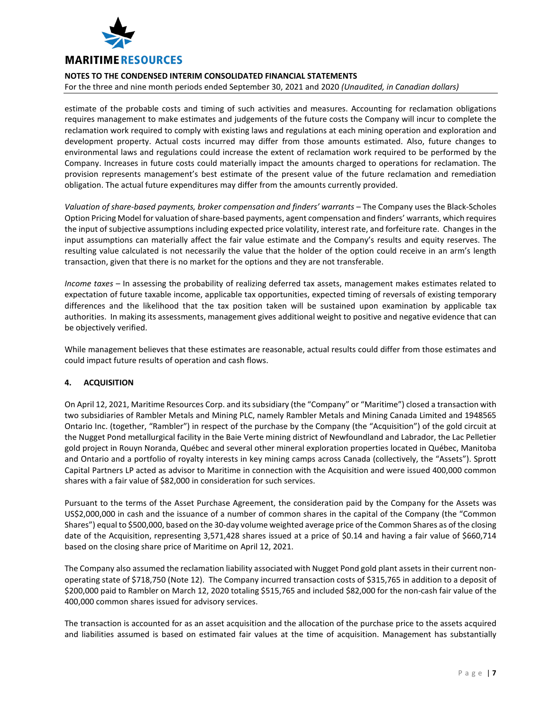

For the three and nine month periods ended September 30, 2021 and 2020 *(Unaudited, in Canadian dollars)*

estimate of the probable costs and timing of such activities and measures. Accounting for reclamation obligations requires management to make estimates and judgements of the future costs the Company will incur to complete the reclamation work required to comply with existing laws and regulations at each mining operation and exploration and development property. Actual costs incurred may differ from those amounts estimated. Also, future changes to environmental laws and regulations could increase the extent of reclamation work required to be performed by the Company. Increases in future costs could materially impact the amounts charged to operations for reclamation. The provision represents management's best estimate of the present value of the future reclamation and remediation obligation. The actual future expenditures may differ from the amounts currently provided.

*Valuation of share-based payments, broker compensation and finders' warrants* – The Company uses the Black-Scholes Option Pricing Model for valuation of share-based payments, agent compensation and finders' warrants, which requires the input of subjective assumptions including expected price volatility, interest rate, and forfeiture rate. Changes in the input assumptions can materially affect the fair value estimate and the Company's results and equity reserves. The resulting value calculated is not necessarily the value that the holder of the option could receive in an arm's length transaction, given that there is no market for the options and they are not transferable.

*Income taxes* – In assessing the probability of realizing deferred tax assets, management makes estimates related to expectation of future taxable income, applicable tax opportunities, expected timing of reversals of existing temporary differences and the likelihood that the tax position taken will be sustained upon examination by applicable tax authorities. In making its assessments, management gives additional weight to positive and negative evidence that can be objectively verified.

While management believes that these estimates are reasonable, actual results could differ from those estimates and could impact future results of operation and cash flows.

#### **4. ACQUISITION**

On April 12, 2021, Maritime Resources Corp. and its subsidiary (the "Company" or "Maritime") closed a transaction with two subsidiaries of Rambler Metals and Mining PLC, namely Rambler Metals and Mining Canada Limited and 1948565 Ontario Inc. (together, "Rambler") in respect of the purchase by the Company (the "Acquisition") of the gold circuit at the Nugget Pond metallurgical facility in the Baie Verte mining district of Newfoundland and Labrador, the Lac Pelletier gold project in Rouyn Noranda, Québec and several other mineral exploration properties located in Québec, Manitoba and Ontario and a portfolio of royalty interests in key mining camps across Canada (collectively, the "Assets"). Sprott Capital Partners LP acted as advisor to Maritime in connection with the Acquisition and were issued 400,000 common shares with a fair value of \$82,000 in consideration for such services.

Pursuant to the terms of the Asset Purchase Agreement, the consideration paid by the Company for the Assets was US\$2,000,000 in cash and the issuance of a number of common shares in the capital of the Company (the "Common Shares") equal to \$500,000, based on the 30-day volume weighted average price of the Common Shares as of the closing date of the Acquisition, representing 3,571,428 shares issued at a price of \$0.14 and having a fair value of \$660,714 based on the closing share price of Maritime on April 12, 2021.

The Company also assumed the reclamation liability associated with Nugget Pond gold plant assets in their current nonoperating state of \$718,750 (Note 12). The Company incurred transaction costs of \$315,765 in addition to a deposit of \$200,000 paid to Rambler on March 12, 2020 totaling \$515,765 and included \$82,000 for the non-cash fair value of the 400,000 common shares issued for advisory services.

The transaction is accounted for as an asset acquisition and the allocation of the purchase price to the assets acquired and liabilities assumed is based on estimated fair values at the time of acquisition. Management has substantially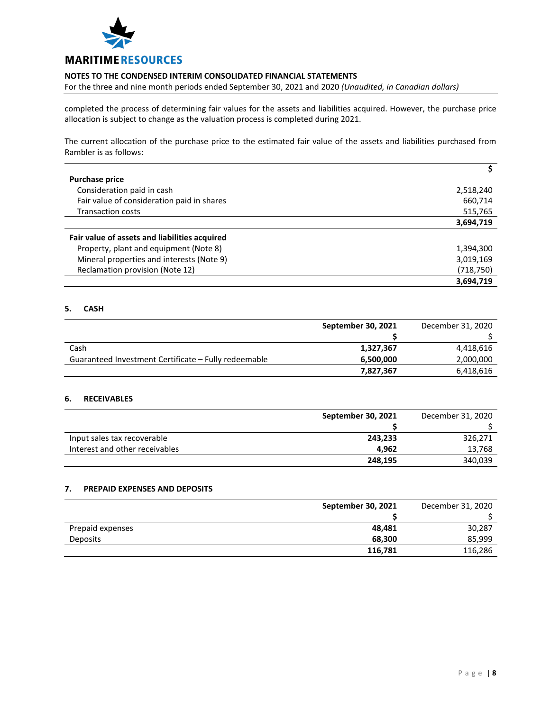

For the three and nine month periods ended September 30, 2021 and 2020 *(Unaudited, in Canadian dollars)*

completed the process of determining fair values for the assets and liabilities acquired. However, the purchase price allocation is subject to change as the valuation process is completed during 2021.

The current allocation of the purchase price to the estimated fair value of the assets and liabilities purchased from Rambler is as follows:

| <b>Purchase price</b>                         |           |
|-----------------------------------------------|-----------|
| Consideration paid in cash                    | 2,518,240 |
| Fair value of consideration paid in shares    | 660,714   |
| <b>Transaction costs</b>                      | 515,765   |
|                                               | 3,694,719 |
| Fair value of assets and liabilities acquired |           |
| Property, plant and equipment (Note 8)        | 1,394,300 |
| Mineral properties and interests (Note 9)     | 3,019,169 |
| Reclamation provision (Note 12)               | (718,750) |
|                                               | 3,694,719 |

## **5. CASH**

|                                                      | September 30, 2021 | December 31, 2020 |
|------------------------------------------------------|--------------------|-------------------|
|                                                      |                    |                   |
| Cash                                                 | 1,327,367          | 4,418,616         |
| Guaranteed Investment Certificate - Fully redeemable | 6,500,000          | 2,000,000         |
|                                                      | 7,827,367          | 6,418,616         |

## **6. RECEIVABLES**

|                                | September 30, 2021 | December 31, 2020 |
|--------------------------------|--------------------|-------------------|
|                                |                    |                   |
| Input sales tax recoverable    | 243,233            | 326,271           |
| Interest and other receivables | 4.962              | 13,768            |
|                                | 248,195            | 340,039           |

## **7. PREPAID EXPENSES AND DEPOSITS**

|                  | September 30, 2021 | December 31, 2020 |
|------------------|--------------------|-------------------|
|                  |                    |                   |
| Prepaid expenses | 48,481             | 30,287            |
| <b>Deposits</b>  | 68,300             | 85,999            |
|                  | 116,781            | 116,286           |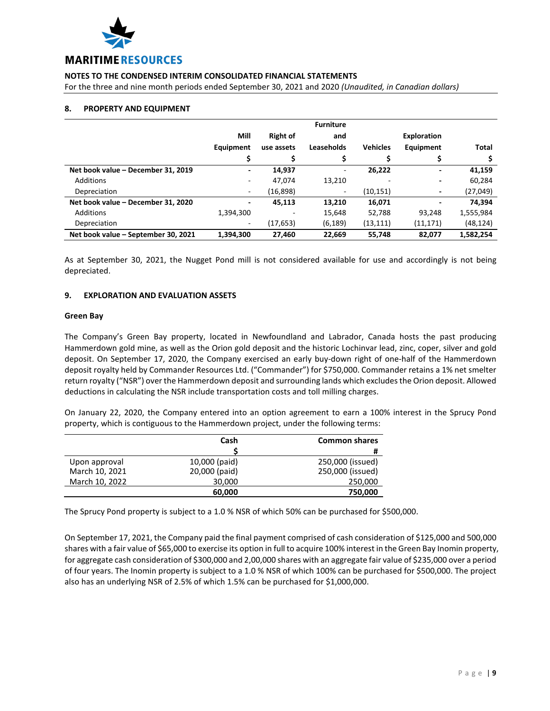

For the three and nine month periods ended September 30, 2021 and 2020 *(Unaudited, in Canadian dollars)*

#### **8. PROPERTY AND EQUIPMENT**

|                                     |           |                 | <b>Furniture</b>             |                 |                          |           |
|-------------------------------------|-----------|-----------------|------------------------------|-----------------|--------------------------|-----------|
|                                     | Mill      | <b>Right of</b> | and                          |                 | <b>Exploration</b>       |           |
|                                     | Equipment | use assets      | Leaseholds                   | <b>Vehicles</b> | Equipment                | Total     |
|                                     |           | \$              |                              |                 |                          |           |
| Net book value - December 31, 2019  | -         | 14,937          | $\qquad \qquad \blacksquare$ | 26,222          | $\overline{\phantom{0}}$ | 41,159    |
| Additions                           | ۰         | 47,074          | 13,210                       |                 |                          | 60,284    |
| Depreciation                        | ۰         | (16, 898)       | $\overline{\phantom{a}}$     | (10, 151)       | ٠                        | (27, 049) |
| Net book value - December 31, 2020  | ٠         | 45,113          | 13,210                       | 16,071          |                          | 74,394    |
| Additions                           | 1,394,300 |                 | 15,648                       | 52,788          | 93.248                   | 1,555,984 |
| Depreciation                        | ۰         | (17, 653)       | (6, 189)                     | (13, 111)       | (11, 171)                | (48, 124) |
| Net book value - September 30, 2021 | 1.394.300 | 27,460          | 22,669                       | 55,748          | 82,077                   | 1,582,254 |

As at September 30, 2021, the Nugget Pond mill is not considered available for use and accordingly is not being depreciated.

## **9. EXPLORATION AND EVALUATION ASSETS**

#### **Green Bay**

The Company's Green Bay property, located in Newfoundland and Labrador, Canada hosts the past producing Hammerdown gold mine, as well as the Orion gold deposit and the historic Lochinvar lead, zinc, coper, silver and gold deposit. On September 17, 2020, the Company exercised an early buy-down right of one-half of the Hammerdown deposit royalty held by Commander Resources Ltd. ("Commander") for \$750,000. Commander retains a 1% net smelter return royalty ("NSR") over the Hammerdown deposit and surrounding lands which excludes the Orion deposit. Allowed deductions in calculating the NSR include transportation costs and toll milling charges.

On January 22, 2020, the Company entered into an option agreement to earn a 100% interest in the Sprucy Pond property, which is contiguous to the Hammerdown project, under the following terms:

|                | Cash          | <b>Common shares</b> |
|----------------|---------------|----------------------|
|                |               | #                    |
| Upon approval  | 10,000 (paid) | 250,000 (issued)     |
| March 10, 2021 | 20,000 (paid) | 250,000 (issued)     |
| March 10, 2022 | 30,000        | 250,000              |
|                | 60,000        | 750,000              |

The Sprucy Pond property is subject to a 1.0 % NSR of which 50% can be purchased for \$500,000.

On September 17, 2021, the Company paid the final payment comprised of cash consideration of \$125,000 and 500,000 shares with a fair value of \$65,000 to exercise its option in full to acquire 100% interest in the Green Bay Inomin property, for aggregate cash consideration of \$300,000 and 2,00,000 shares with an aggregate fair value of \$235,000 over a period of four years. The Inomin property is subject to a 1.0 % NSR of which 100% can be purchased for \$500,000. The project also has an underlying NSR of 2.5% of which 1.5% can be purchased for \$1,000,000.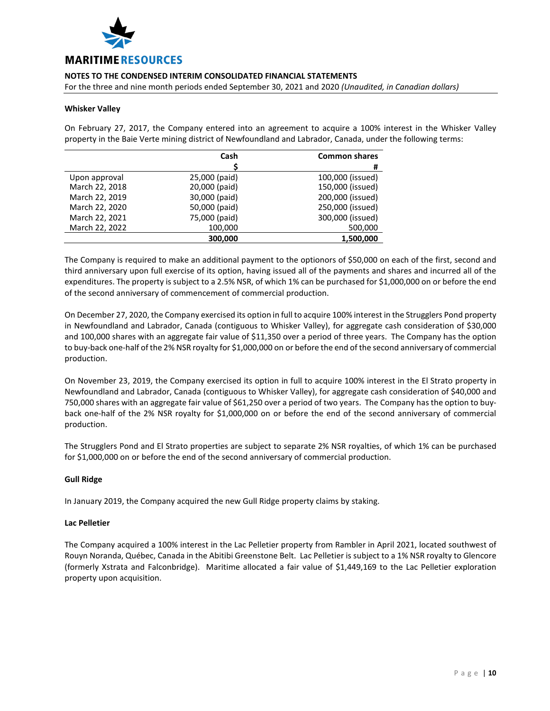

For the three and nine month periods ended September 30, 2021 and 2020 *(Unaudited, in Canadian dollars)*

#### **Whisker Valley**

On February 27, 2017, the Company entered into an agreement to acquire a 100% interest in the Whisker Valley property in the Baie Verte mining district of Newfoundland and Labrador, Canada, under the following terms:

|                | Cash          | <b>Common shares</b> |
|----------------|---------------|----------------------|
|                |               | #                    |
| Upon approval  | 25,000 (paid) | 100,000 (issued)     |
| March 22, 2018 | 20,000 (paid) | 150,000 (issued)     |
| March 22, 2019 | 30,000 (paid) | 200,000 (issued)     |
| March 22, 2020 | 50,000 (paid) | 250,000 (issued)     |
| March 22, 2021 | 75,000 (paid) | 300,000 (issued)     |
| March 22, 2022 | 100,000       | 500,000              |
|                | 300,000       | 1,500,000            |

The Company is required to make an additional payment to the optionors of \$50,000 on each of the first, second and third anniversary upon full exercise of its option, having issued all of the payments and shares and incurred all of the expenditures. The property is subject to a 2.5% NSR, of which 1% can be purchased for \$1,000,000 on or before the end of the second anniversary of commencement of commercial production.

On December 27, 2020, the Company exercised its option in full to acquire 100% interest in the Strugglers Pond property in Newfoundland and Labrador, Canada (contiguous to Whisker Valley), for aggregate cash consideration of \$30,000 and 100,000 shares with an aggregate fair value of \$11,350 over a period of three years. The Company has the option to buy-back one-half of the 2% NSR royalty for \$1,000,000 on or before the end of the second anniversary of commercial production.

On November 23, 2019, the Company exercised its option in full to acquire 100% interest in the El Strato property in Newfoundland and Labrador, Canada (contiguous to Whisker Valley), for aggregate cash consideration of \$40,000 and 750,000 shares with an aggregate fair value of \$61,250 over a period of two years. The Company has the option to buyback one-half of the 2% NSR royalty for \$1,000,000 on or before the end of the second anniversary of commercial production.

The Strugglers Pond and El Strato properties are subject to separate 2% NSR royalties, of which 1% can be purchased for \$1,000,000 on or before the end of the second anniversary of commercial production.

#### **Gull Ridge**

In January 2019, the Company acquired the new Gull Ridge property claims by staking.

#### **Lac Pelletier**

The Company acquired a 100% interest in the Lac Pelletier property from Rambler in April 2021, located southwest of Rouyn Noranda, Québec, Canada in the Abitibi Greenstone Belt. Lac Pelletier is subject to a 1% NSR royalty to Glencore (formerly Xstrata and Falconbridge). Maritime allocated a fair value of \$1,449,169 to the Lac Pelletier exploration property upon acquisition.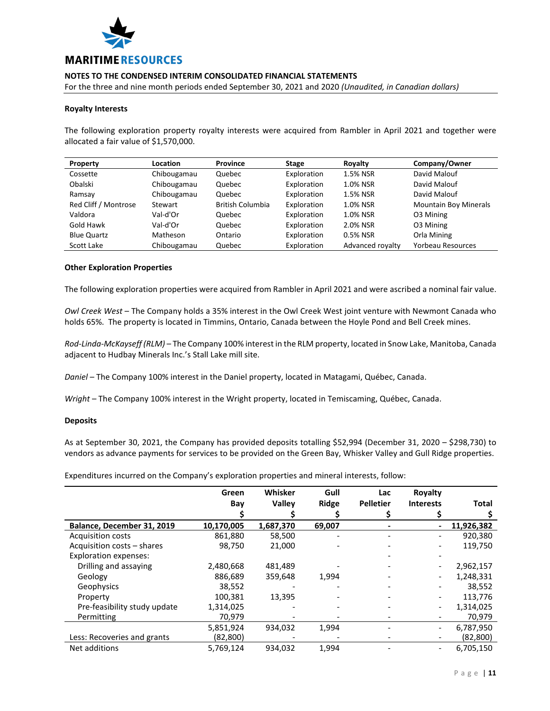

For the three and nine month periods ended September 30, 2021 and 2020 *(Unaudited, in Canadian dollars)*

#### **Royalty Interests**

The following exploration property royalty interests were acquired from Rambler in April 2021 and together were allocated a fair value of \$1,570,000.

| Property             | Location    | Province         | <b>Stage</b> | Royalty          | Company/Owner                |
|----------------------|-------------|------------------|--------------|------------------|------------------------------|
| Cossette             | Chibougamau | Quebec           | Exploration  | 1.5% NSR         | David Malouf                 |
| Obalski              | Chibougamau | Quebec           | Exploration  | 1.0% NSR         | David Malouf                 |
| Ramsay               | Chibougamau | Quebec           | Exploration  | 1.5% NSR         | David Malouf                 |
| Red Cliff / Montrose | Stewart     | British Columbia | Exploration  | 1.0% NSR         | <b>Mountain Boy Minerals</b> |
| Valdora              | Val-d'Or    | Quebec           | Exploration  | 1.0% NSR         | O3 Mining                    |
| Gold Hawk            | Val-d'Or    | Quebec           | Exploration  | 2.0% NSR         | 03 Mining                    |
| <b>Blue Quartz</b>   | Matheson    | Ontario          | Exploration  | 0.5% NSR         | Orla Mining                  |
| Scott Lake           | Chibougamau | Quebec           | Exploration  | Advanced royalty | Yorbeau Resources            |

#### **Other Exploration Properties**

The following exploration properties were acquired from Rambler in April 2021 and were ascribed a nominal fair value.

*Owl Creek West* – The Company holds a 35% interest in the Owl Creek West joint venture with Newmont Canada who holds 65%. The property is located in Timmins, Ontario, Canada between the Hoyle Pond and Bell Creek mines.

*Rod-Linda-McKayseff (RLM)* – The Company 100% interest in the RLM property, located in Snow Lake, Manitoba, Canada adjacent to Hudbay Minerals Inc.'s Stall Lake mill site.

*Daniel* – The Company 100% interest in the Daniel property, located in Matagami, Québec, Canada.

*Wright* – The Company 100% interest in the Wright property, located in Temiscaming, Québec, Canada.

#### **Deposits**

As at September 30, 2021, the Company has provided deposits totalling \$52,994 (December 31, 2020 – \$298,730) to vendors as advance payments for services to be provided on the Green Bay, Whisker Valley and Gull Ridge properties.

Expenditures incurred on the Company's exploration properties and mineral interests, follow:

|                              | Green      | Whisker       | Gull   | Lac              | Royalty          |              |
|------------------------------|------------|---------------|--------|------------------|------------------|--------------|
|                              | Bay        | <b>Valley</b> | Ridge  | <b>Pelletier</b> | <b>Interests</b> | <b>Total</b> |
|                              |            |               |        |                  |                  |              |
| Balance, December 31, 2019   | 10,170,005 | 1,687,370     | 69,007 |                  |                  | 11,926,382   |
| <b>Acquisition costs</b>     | 861,880    | 58,500        |        |                  |                  | 920,380      |
| Acquisition costs - shares   | 98,750     | 21,000        |        |                  |                  | 119,750      |
| <b>Exploration expenses:</b> |            |               |        |                  |                  |              |
| Drilling and assaying        | 2,480,668  | 481,489       |        |                  |                  | 2,962,157    |
| Geology                      | 886,689    | 359,648       | 1,994  |                  |                  | 1,248,331    |
| Geophysics                   | 38,552     |               |        |                  |                  | 38,552       |
| Property                     | 100,381    | 13,395        |        |                  |                  | 113,776      |
| Pre-feasibility study update | 1,314,025  |               |        |                  |                  | 1,314,025    |
| Permitting                   | 70,979     |               |        |                  |                  | 70,979       |
|                              | 5,851,924  | 934,032       | 1,994  |                  |                  | 6,787,950    |
| Less: Recoveries and grants  | (82, 800)  |               |        |                  |                  | (82, 800)    |
| Net additions                | 5,769,124  | 934.032       | 1,994  |                  |                  | 6,705,150    |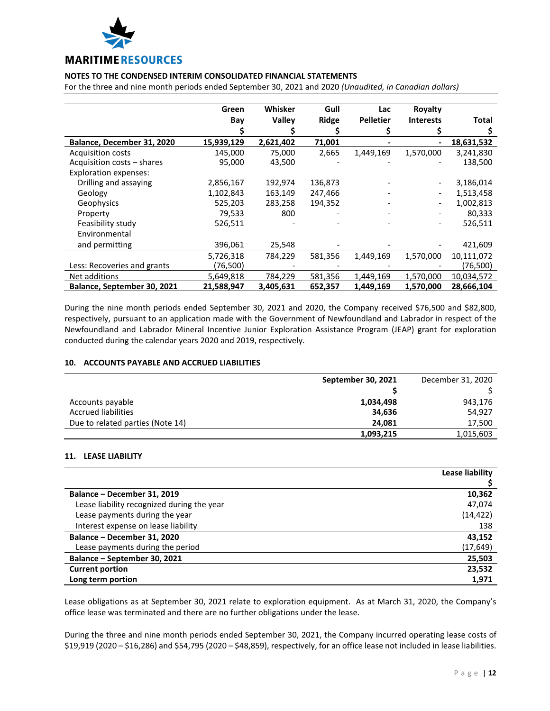

For the three and nine month periods ended September 30, 2021 and 2020 *(Unaudited, in Canadian dollars)*

|                              | Green      | Whisker   | Gull    | Lac              | Royalty          |              |
|------------------------------|------------|-----------|---------|------------------|------------------|--------------|
|                              | Bay        | Valley    | Ridge   | <b>Pelletier</b> | <b>Interests</b> | <b>Total</b> |
|                              |            |           |         |                  |                  |              |
| Balance, December 31, 2020   | 15,939,129 | 2,621,402 | 71,001  |                  |                  | 18,631,532   |
| <b>Acquisition costs</b>     | 145,000    | 75,000    | 2,665   | 1,449,169        | 1,570,000        | 3,241,830    |
| Acquisition costs - shares   | 95,000     | 43,500    |         |                  |                  | 138,500      |
| <b>Exploration expenses:</b> |            |           |         |                  |                  |              |
| Drilling and assaying        | 2,856,167  | 192,974   | 136,873 |                  |                  | 3,186,014    |
| Geology                      | 1,102,843  | 163,149   | 247,466 |                  |                  | 1,513,458    |
| Geophysics                   | 525,203    | 283,258   | 194,352 |                  |                  | 1,002,813    |
| Property                     | 79,533     | 800       |         |                  |                  | 80,333       |
| Feasibility study            | 526,511    |           |         |                  |                  | 526,511      |
| Environmental                |            |           |         |                  |                  |              |
| and permitting               | 396,061    | 25,548    |         |                  |                  | 421,609      |
|                              | 5,726,318  | 784,229   | 581,356 | 1,449,169        | 1,570,000        | 10,111,072   |
| Less: Recoveries and grants  | (76,500)   |           |         |                  |                  | (76,500)     |
| Net additions                | 5,649,818  | 784,229   | 581,356 | 1,449,169        | 1,570,000        | 10,034,572   |
| Balance, September 30, 2021  | 21,588,947 | 3,405,631 | 652,357 | 1,449,169        | 1,570,000        | 28,666,104   |

During the nine month periods ended September 30, 2021 and 2020, the Company received \$76,500 and \$82,800, respectively, pursuant to an application made with the Government of Newfoundland and Labrador in respect of the Newfoundland and Labrador Mineral Incentive Junior Exploration Assistance Program (JEAP) grant for exploration conducted during the calendar years 2020 and 2019, respectively.

#### **10. ACCOUNTS PAYABLE AND ACCRUED LIABILITIES**

|                                  | September 30, 2021 | December 31, 2020 |
|----------------------------------|--------------------|-------------------|
|                                  |                    |                   |
| Accounts payable                 | 1,034,498          | 943,176           |
| <b>Accrued liabilities</b>       | 34,636             | 54,927            |
| Due to related parties (Note 14) | 24.081             | 17,500            |
|                                  | 1,093,215          | 1,015,603         |

#### **11. LEASE LIABILITY**

|                                            | Lease liability |
|--------------------------------------------|-----------------|
|                                            |                 |
| Balance - December 31, 2019                | 10,362          |
| Lease liability recognized during the year | 47,074          |
| Lease payments during the year             | (14, 422)       |
| Interest expense on lease liability        | 138             |
| Balance - December 31, 2020                | 43,152          |
| Lease payments during the period           | (17,649)        |
| Balance - September 30, 2021               | 25,503          |
| <b>Current portion</b>                     | 23,532          |
| Long term portion                          | 1,971           |

Lease obligations as at September 30, 2021 relate to exploration equipment. As at March 31, 2020, the Company's office lease was terminated and there are no further obligations under the lease.

During the three and nine month periods ended September 30, 2021, the Company incurred operating lease costs of \$19,919 (2020 – \$16,286) and \$54,795 (2020 – \$48,859), respectively, for an office lease not included in lease liabilities.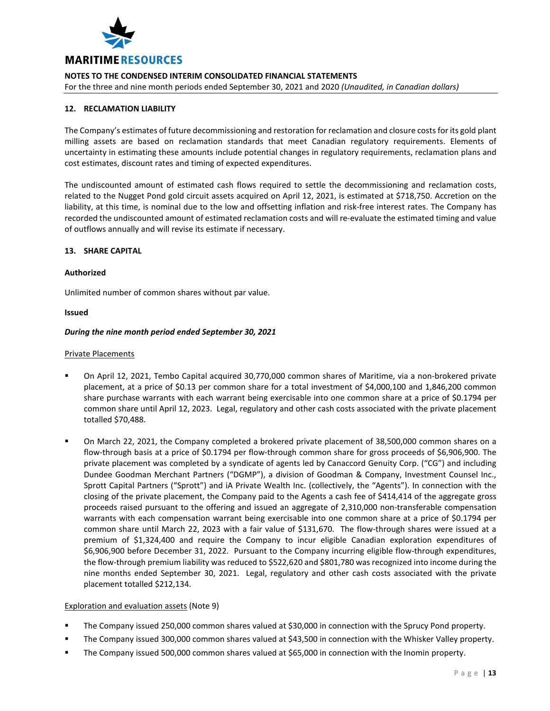

For the three and nine month periods ended September 30, 2021 and 2020 *(Unaudited, in Canadian dollars)*

## **12. RECLAMATION LIABILITY**

The Company's estimates of future decommissioning and restoration for reclamation and closure costs for its gold plant milling assets are based on reclamation standards that meet Canadian regulatory requirements. Elements of uncertainty in estimating these amounts include potential changes in regulatory requirements, reclamation plans and cost estimates, discount rates and timing of expected expenditures.

The undiscounted amount of estimated cash flows required to settle the decommissioning and reclamation costs, related to the Nugget Pond gold circuit assets acquired on April 12, 2021, is estimated at \$718,750. Accretion on the liability, at this time, is nominal due to the low and offsetting inflation and risk-free interest rates. The Company has recorded the undiscounted amount of estimated reclamation costs and will re-evaluate the estimated timing and value of outflows annually and will revise its estimate if necessary.

#### **13. SHARE CAPITAL**

#### **Authorized**

Unlimited number of common shares without par value.

#### **Issued**

#### *During the nine month period ended September 30, 2021*

#### Private Placements

- On April 12, 2021, Tembo Capital acquired 30,770,000 common shares of Maritime, via a non-brokered private placement, at a price of \$0.13 per common share for a total investment of \$4,000,100 and 1,846,200 common share purchase warrants with each warrant being exercisable into one common share at a price of \$0.1794 per common share until April 12, 2023. Legal, regulatory and other cash costs associated with the private placement totalled \$70,488.
- On March 22, 2021, the Company completed a brokered private placement of 38,500,000 common shares on a flow-through basis at a price of \$0.1794 per flow-through common share for gross proceeds of \$6,906,900. The private placement was completed by a syndicate of agents led by Canaccord Genuity Corp. ("CG") and including Dundee Goodman Merchant Partners ("DGMP"), a division of Goodman & Company, Investment Counsel Inc., Sprott Capital Partners ("Sprott") and iA Private Wealth Inc. (collectively, the "Agents"). In connection with the closing of the private placement, the Company paid to the Agents a cash fee of \$414,414 of the aggregate gross proceeds raised pursuant to the offering and issued an aggregate of 2,310,000 non-transferable compensation warrants with each compensation warrant being exercisable into one common share at a price of \$0.1794 per common share until March 22, 2023 with a fair value of \$131,670. The flow-through shares were issued at a premium of \$1,324,400 and require the Company to incur eligible Canadian exploration expenditures of \$6,906,900 before December 31, 2022. Pursuant to the Company incurring eligible flow-through expenditures, the flow-through premium liability was reduced to \$522,620 and \$801,780 was recognized into income during the nine months ended September 30, 2021. Legal, regulatory and other cash costs associated with the private placement totalled \$212,134.

#### Exploration and evaluation assets (Note 9)

- The Company issued 250,000 common shares valued at \$30,000 in connection with the Sprucy Pond property.
- The Company issued 300,000 common shares valued at \$43,500 in connection with the Whisker Valley property.
- The Company issued 500,000 common shares valued at \$65,000 in connection with the Inomin property.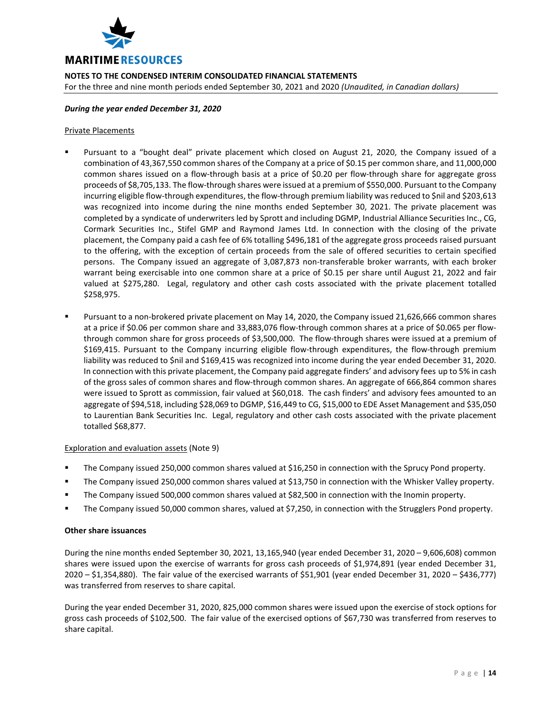

**NOTES TO THE CONDENSED INTERIM CONSOLIDATED FINANCIAL STATEMENTS** For the three and nine month periods ended September 30, 2021 and 2020 *(Unaudited, in Canadian dollars)*

#### *During the year ended December 31, 2020*

## Private Placements

- Pursuant to a "bought deal" private placement which closed on August 21, 2020, the Company issued of a combination of 43,367,550 common shares of the Company at a price of \$0.15 per common share, and 11,000,000 common shares issued on a flow-through basis at a price of \$0.20 per flow-through share for aggregate gross proceeds of \$8,705,133. The flow-through shares were issued at a premium of \$550,000. Pursuant to the Company incurring eligible flow-through expenditures, the flow-through premium liability was reduced to \$nil and \$203,613 was recognized into income during the nine months ended September 30, 2021. The private placement was completed by a syndicate of underwriters led by Sprott and including DGMP, Industrial Alliance Securities Inc., CG, Cormark Securities Inc., Stifel GMP and Raymond James Ltd. In connection with the closing of the private placement, the Company paid a cash fee of 6% totalling \$496,181 of the aggregate gross proceeds raised pursuant to the offering, with the exception of certain proceeds from the sale of offered securities to certain specified persons. The Company issued an aggregate of 3,087,873 non-transferable broker warrants, with each broker warrant being exercisable into one common share at a price of \$0.15 per share until August 21, 2022 and fair valued at \$275,280. Legal, regulatory and other cash costs associated with the private placement totalled \$258,975.
- Pursuant to a non-brokered private placement on May 14, 2020, the Company issued 21,626,666 common shares at a price if \$0.06 per common share and 33,883,076 flow-through common shares at a price of \$0.065 per flowthrough common share for gross proceeds of \$3,500,000. The flow-through shares were issued at a premium of \$169,415. Pursuant to the Company incurring eligible flow-through expenditures, the flow-through premium liability was reduced to \$nil and \$169,415 was recognized into income during the year ended December 31, 2020. In connection with this private placement, the Company paid aggregate finders' and advisory fees up to 5% in cash of the gross sales of common shares and flow-through common shares. An aggregate of 666,864 common shares were issued to Sprott as commission, fair valued at \$60,018. The cash finders' and advisory fees amounted to an aggregate of \$94,518, including \$28,069 to DGMP, \$16,449 to CG, \$15,000 to EDE Asset Management and \$35,050 to Laurentian Bank Securities Inc. Legal, regulatory and other cash costs associated with the private placement totalled \$68,877.

#### Exploration and evaluation assets (Note 9)

- The Company issued 250,000 common shares valued at \$16,250 in connection with the Sprucy Pond property.
- The Company issued 250,000 common shares valued at \$13,750 in connection with the Whisker Valley property.
- The Company issued 500,000 common shares valued at \$82,500 in connection with the Inomin property.
- The Company issued 50,000 common shares, valued at \$7,250, in connection with the Strugglers Pond property.

#### **Other share issuances**

During the nine months ended September 30, 2021, 13,165,940 (year ended December 31, 2020 – 9,606,608) common shares were issued upon the exercise of warrants for gross cash proceeds of \$1,974,891 (year ended December 31, 2020 – \$1,354,880). The fair value of the exercised warrants of \$51,901 (year ended December 31, 2020 – \$436,777) was transferred from reserves to share capital.

During the year ended December 31, 2020, 825,000 common shares were issued upon the exercise of stock options for gross cash proceeds of \$102,500. The fair value of the exercised options of \$67,730 was transferred from reserves to share capital.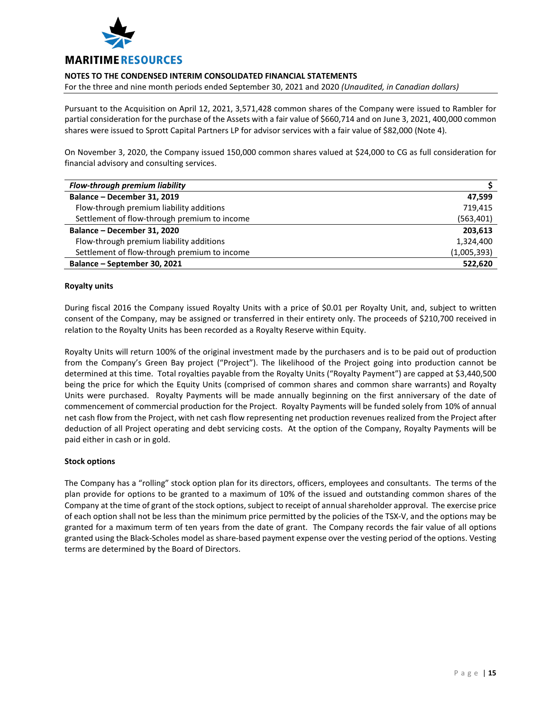

For the three and nine month periods ended September 30, 2021 and 2020 *(Unaudited, in Canadian dollars)*

Pursuant to the Acquisition on April 12, 2021, 3,571,428 common shares of the Company were issued to Rambler for partial consideration for the purchase of the Assets with a fair value of \$660,714 and on June 3, 2021, 400,000 common shares were issued to Sprott Capital Partners LP for advisor services with a fair value of \$82,000 (Note 4).

On November 3, 2020, the Company issued 150,000 common shares valued at \$24,000 to CG as full consideration for financial advisory and consulting services.

| <b>Flow-through premium liability</b>        |             |
|----------------------------------------------|-------------|
| Balance - December 31, 2019                  | 47.599      |
| Flow-through premium liability additions     | 719,415     |
| Settlement of flow-through premium to income | (563, 401)  |
| Balance - December 31, 2020                  | 203.613     |
| Flow-through premium liability additions     | 1,324,400   |
| Settlement of flow-through premium to income | (1,005,393) |
| Balance – September 30, 2021                 | 522.620     |

#### **Royalty units**

During fiscal 2016 the Company issued Royalty Units with a price of \$0.01 per Royalty Unit, and, subject to written consent of the Company, may be assigned or transferred in their entirety only. The proceeds of \$210,700 received in relation to the Royalty Units has been recorded as a Royalty Reserve within Equity.

Royalty Units will return 100% of the original investment made by the purchasers and is to be paid out of production from the Company's Green Bay project ("Project"). The likelihood of the Project going into production cannot be determined at this time. Total royalties payable from the Royalty Units ("Royalty Payment") are capped at \$3,440,500 being the price for which the Equity Units (comprised of common shares and common share warrants) and Royalty Units were purchased. Royalty Payments will be made annually beginning on the first anniversary of the date of commencement of commercial production for the Project. Royalty Payments will be funded solely from 10% of annual net cash flow from the Project, with net cash flow representing net production revenues realized from the Project after deduction of all Project operating and debt servicing costs. At the option of the Company, Royalty Payments will be paid either in cash or in gold.

## **Stock options**

The Company has a "rolling" stock option plan for its directors, officers, employees and consultants. The terms of the plan provide for options to be granted to a maximum of 10% of the issued and outstanding common shares of the Company at the time of grant of the stock options, subject to receipt of annual shareholder approval. The exercise price of each option shall not be less than the minimum price permitted by the policies of the TSX-V, and the options may be granted for a maximum term of ten years from the date of grant. The Company records the fair value of all options granted using the Black-Scholes model as share-based payment expense over the vesting period of the options. Vesting terms are determined by the Board of Directors.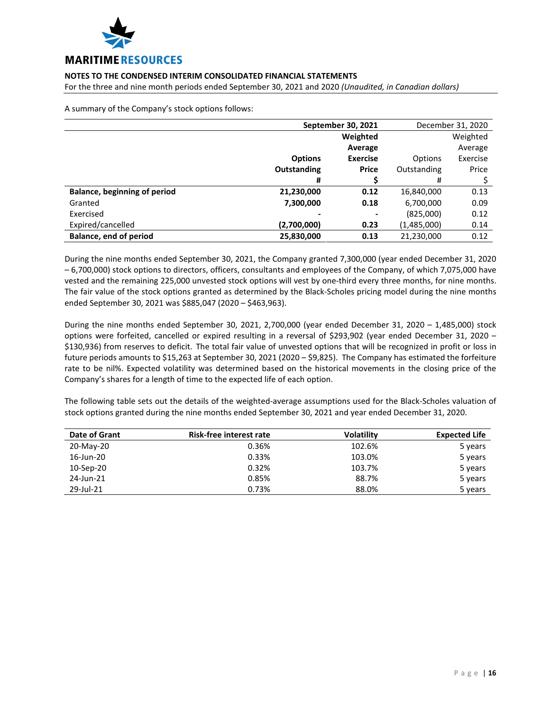

For the three and nine month periods ended September 30, 2021 and 2020 *(Unaudited, in Canadian dollars)*

A summary of the Company's stock options follows:

|                                     | September 30, 2021 |                 |             | December 31, 2020 |
|-------------------------------------|--------------------|-----------------|-------------|-------------------|
|                                     |                    | Weighted        |             | Weighted          |
|                                     |                    | Average         |             | Average           |
|                                     | <b>Options</b>     | <b>Exercise</b> | Options     | Exercise          |
|                                     | Outstanding        | <b>Price</b>    | Outstanding | Price             |
|                                     | #                  |                 | #           |                   |
| <b>Balance, beginning of period</b> | 21,230,000         | 0.12            | 16,840,000  | 0.13              |
| Granted                             | 7,300,000          | 0.18            | 6,700,000   | 0.09              |
| Exercised                           |                    | $\,$            | (825,000)   | 0.12              |
| Expired/cancelled                   | (2,700,000)        | 0.23            | (1,485,000) | 0.14              |
| <b>Balance, end of period</b>       | 25,830,000         | 0.13            | 21,230,000  | 0.12              |

During the nine months ended September 30, 2021, the Company granted 7,300,000 (year ended December 31, 2020 – 6,700,000) stock options to directors, officers, consultants and employees of the Company, of which 7,075,000 have vested and the remaining 225,000 unvested stock options will vest by one-third every three months, for nine months. The fair value of the stock options granted as determined by the Black-Scholes pricing model during the nine months ended September 30, 2021 was \$885,047 (2020 – \$463,963).

During the nine months ended September 30, 2021, 2,700,000 (year ended December 31, 2020 – 1,485,000) stock options were forfeited, cancelled or expired resulting in a reversal of \$293,902 (year ended December 31, 2020 – \$130,936) from reserves to deficit. The total fair value of unvested options that will be recognized in profit or loss in future periods amounts to \$15,263 at September 30, 2021 (2020 – \$9,825). The Company has estimated the forfeiture rate to be nil%. Expected volatility was determined based on the historical movements in the closing price of the Company's shares for a length of time to the expected life of each option.

The following table sets out the details of the weighted-average assumptions used for the Black-Scholes valuation of stock options granted during the nine months ended September 30, 2021 and year ended December 31, 2020.

| Date of Grant | Risk-free interest rate | <b>Volatility</b> | <b>Expected Life</b> |
|---------------|-------------------------|-------------------|----------------------|
| 20-May-20     | 0.36%                   | 102.6%            | 5 years              |
| 16-Jun-20     | 0.33%                   | 103.0%            | 5 years              |
| 10-Sep-20     | 0.32%                   | 103.7%            | 5 years              |
| 24-Jun-21     | 0.85%                   | 88.7%             | 5 years              |
| 29-Jul-21     | 0.73%                   | 88.0%             | 5 years              |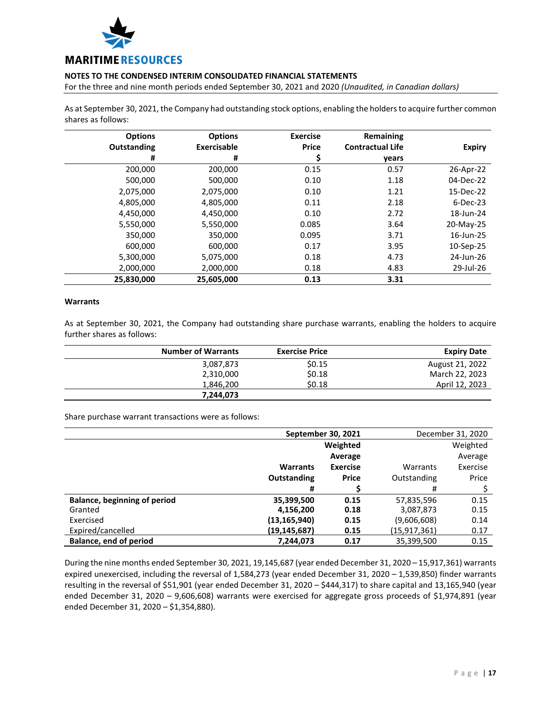

For the three and nine month periods ended September 30, 2021 and 2020 *(Unaudited, in Canadian dollars)*

As at September 30, 2021, the Company had outstanding stock options, enabling the holders to acquire further common shares as follows:

| <b>Options</b>     | <b>Options</b> | <b>Exercise</b> | Remaining               |               |
|--------------------|----------------|-----------------|-------------------------|---------------|
| <b>Outstanding</b> | Exercisable    | <b>Price</b>    | <b>Contractual Life</b> | <b>Expiry</b> |
| #                  | #              | Ş               | years                   |               |
| 200,000            | 200,000        | 0.15            | 0.57                    | 26-Apr-22     |
| 500.000            | 500,000        | 0.10            | 1.18                    | 04-Dec-22     |
| 2,075,000          | 2,075,000      | 0.10            | 1.21                    | 15-Dec-22     |
| 4,805,000          | 4,805,000      | 0.11            | 2.18                    | $6-Dec-23$    |
| 4,450,000          | 4,450,000      | 0.10            | 2.72                    | 18-Jun-24     |
| 5,550,000          | 5,550,000      | 0.085           | 3.64                    | 20-May-25     |
| 350,000            | 350,000        | 0.095           | 3.71                    | 16-Jun-25     |
| 600,000            | 600,000        | 0.17            | 3.95                    | 10-Sep-25     |
| 5,300,000          | 5,075,000      | 0.18            | 4.73                    | 24-Jun-26     |
| 2,000,000          | 2,000,000      | 0.18            | 4.83                    | 29-Jul-26     |
| 25,830,000         | 25,605,000     | 0.13            | 3.31                    |               |

#### **Warrants**

As at September 30, 2021, the Company had outstanding share purchase warrants, enabling the holders to acquire further shares as follows:

| <b>Number of Warrants</b> | <b>Exercise Price</b> | <b>Expiry Date</b> |
|---------------------------|-----------------------|--------------------|
| 3,087,873                 | \$0.15                | August 21, 2022    |
| 2,310,000                 | \$0.18                | March 22, 2023     |
| 1,846,200                 | \$0.18                | April 12, 2023     |
| 7.244.073                 |                       |                    |

Share purchase warrant transactions were as follows:

|                                     | September 30, 2021 |                 |                | December 31, 2020 |
|-------------------------------------|--------------------|-----------------|----------------|-------------------|
|                                     |                    | Weighted        |                | Weighted          |
|                                     |                    | Average         |                | Average           |
|                                     | <b>Warrants</b>    | <b>Exercise</b> | Warrants       | Exercise          |
|                                     | Outstanding        | <b>Price</b>    | Outstanding    | Price             |
|                                     | #                  |                 | #              |                   |
| <b>Balance, beginning of period</b> | 35,399,500         | 0.15            | 57,835,596     | 0.15              |
| Granted                             | 4,156,200          | 0.18            | 3,087,873      | 0.15              |
| Exercised                           | (13, 165, 940)     | 0.15            | (9,606,608)    | 0.14              |
| Expired/cancelled                   | (19,145,687)       | 0.15            | (15, 917, 361) | 0.17              |
| <b>Balance, end of period</b>       | 7,244,073          | 0.17            | 35,399,500     | 0.15              |

During the nine months ended September 30, 2021, 19,145,687 (year ended December 31, 2020 – 15,917,361) warrants expired unexercised, including the reversal of 1,584,273 (year ended December 31, 2020 – 1,539,850) finder warrants resulting in the reversal of \$51,901 (year ended December 31, 2020 – \$444,317) to share capital and 13,165,940 (year ended December 31, 2020 – 9,606,608) warrants were exercised for aggregate gross proceeds of \$1,974,891 (year ended December 31, 2020 – \$1,354,880).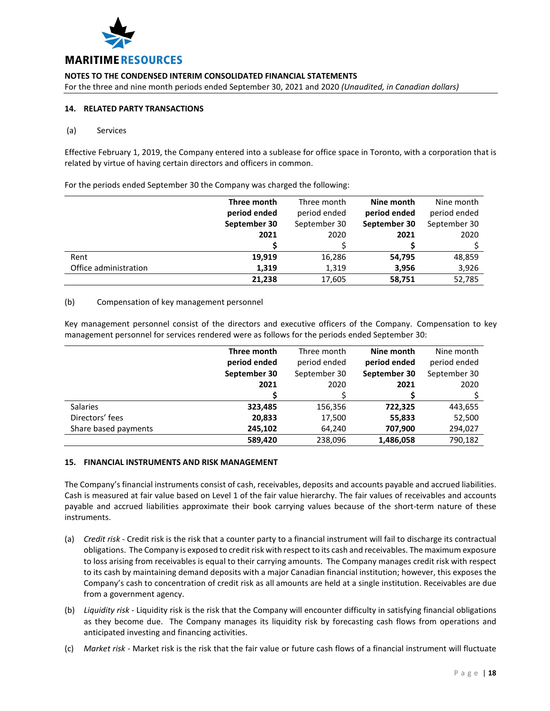

For the three and nine month periods ended September 30, 2021 and 2020 *(Unaudited, in Canadian dollars)*

#### **14. RELATED PARTY TRANSACTIONS**

#### (a) Services

Effective February 1, 2019, the Company entered into a sublease for office space in Toronto, with a corporation that is related by virtue of having certain directors and officers in common.

For the periods ended September 30 the Company was charged the following:

|                       | Three month  | Three month  | Nine month   | Nine month   |
|-----------------------|--------------|--------------|--------------|--------------|
|                       | period ended | period ended | period ended | period ended |
|                       | September 30 | September 30 | September 30 | September 30 |
|                       | 2021         | 2020         | 2021         | 2020         |
|                       |              |              |              |              |
| Rent                  | 19,919       | 16,286       | 54,795       | 48,859       |
| Office administration | 1,319        | 1,319        | 3,956        | 3,926        |
|                       | 21,238       | 17,605       | 58,751       | 52,785       |

#### (b) Compensation of key management personnel

Key management personnel consist of the directors and executive officers of the Company. Compensation to key management personnel for services rendered were as follows for the periods ended September 30:

|                      | Three month  | Three month  | Nine month   | Nine month   |
|----------------------|--------------|--------------|--------------|--------------|
|                      | period ended | period ended | period ended | period ended |
|                      | September 30 | September 30 | September 30 | September 30 |
|                      | 2021         | 2020         | 2021         | 2020         |
|                      |              |              |              |              |
| Salaries             | 323,485      | 156,356      | 722,325      | 443,655      |
| Directors' fees      | 20,833       | 17,500       | 55,833       | 52,500       |
| Share based payments | 245,102      | 64,240       | 707,900      | 294,027      |
|                      | 589,420      | 238,096      | 1,486,058    | 790,182      |

#### **15. FINANCIAL INSTRUMENTS AND RISK MANAGEMENT**

The Company's financial instruments consist of cash, receivables, deposits and accounts payable and accrued liabilities. Cash is measured at fair value based on Level 1 of the fair value hierarchy. The fair values of receivables and accounts payable and accrued liabilities approximate their book carrying values because of the short-term nature of these instruments.

- (a) *Credit risk* Credit risk is the risk that a counter party to a financial instrument will fail to discharge its contractual obligations. The Company is exposed to credit risk with respect to its cash and receivables. The maximum exposure to loss arising from receivables is equal to their carrying amounts. The Company manages credit risk with respect to its cash by maintaining demand deposits with a major Canadian financial institution; however, this exposes the Company's cash to concentration of credit risk as all amounts are held at a single institution. Receivables are due from a government agency.
- (b) *Liquidity risk* Liquidity risk is the risk that the Company will encounter difficulty in satisfying financial obligations as they become due. The Company manages its liquidity risk by forecasting cash flows from operations and anticipated investing and financing activities.
- (c) *Market risk* Market risk is the risk that the fair value or future cash flows of a financial instrument will fluctuate